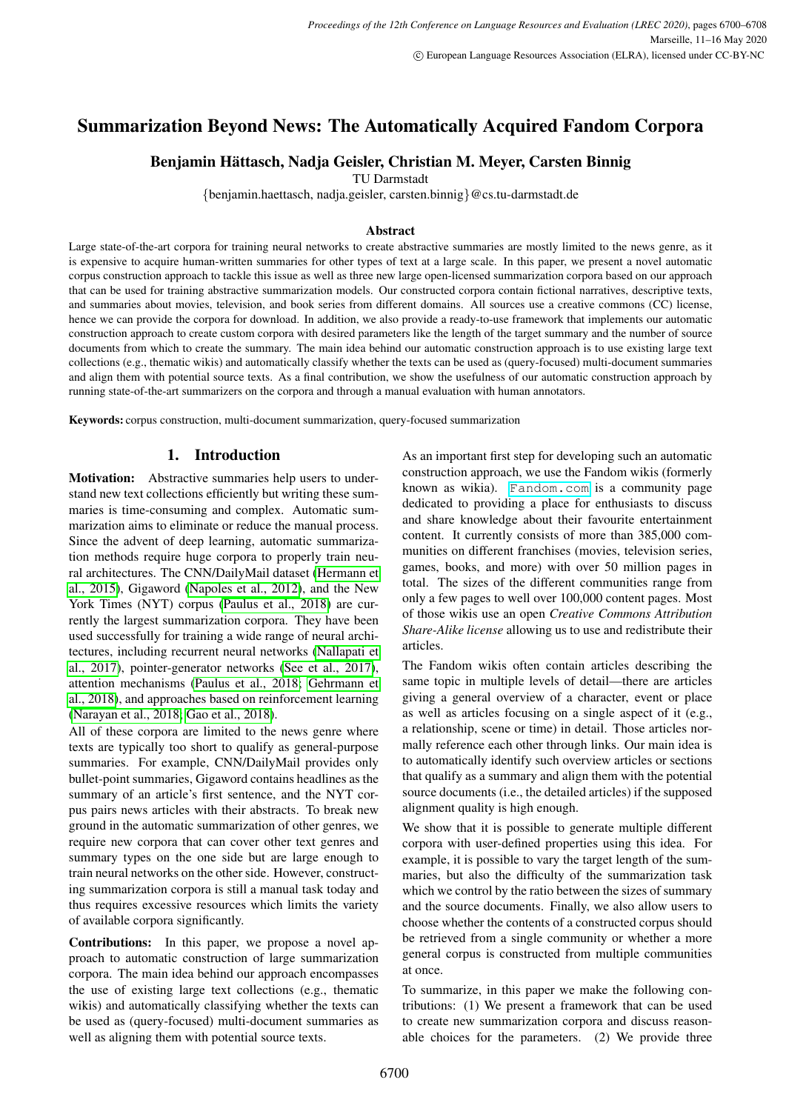# Summarization Beyond News: The Automatically Acquired Fandom Corpora

# Benjamin Hättasch, Nadja Geisler, Christian M. Meyer, Carsten Binnig

TU Darmstadt

{benjamin.haettasch, nadja.geisler, carsten.binnig}@cs.tu-darmstadt.de

#### Abstract

Large state-of-the-art corpora for training neural networks to create abstractive summaries are mostly limited to the news genre, as it is expensive to acquire human-written summaries for other types of text at a large scale. In this paper, we present a novel automatic corpus construction approach to tackle this issue as well as three new large open-licensed summarization corpora based on our approach that can be used for training abstractive summarization models. Our constructed corpora contain fictional narratives, descriptive texts, and summaries about movies, television, and book series from different domains. All sources use a creative commons (CC) license, hence we can provide the corpora for download. In addition, we also provide a ready-to-use framework that implements our automatic construction approach to create custom corpora with desired parameters like the length of the target summary and the number of source documents from which to create the summary. The main idea behind our automatic construction approach is to use existing large text collections (e.g., thematic wikis) and automatically classify whether the texts can be used as (query-focused) multi-document summaries and align them with potential source texts. As a final contribution, we show the usefulness of our automatic construction approach by running state-of-the-art summarizers on the corpora and through a manual evaluation with human annotators.

Keywords: corpus construction, multi-document summarization, query-focused summarization

# 1. Introduction

Motivation: Abstractive summaries help users to understand new text collections efficiently but writing these summaries is time-consuming and complex. Automatic summarization aims to eliminate or reduce the manual process. Since the advent of deep learning, automatic summarization methods require huge corpora to properly train neural architectures. The CNN/DailyMail dataset [\(Hermann et](#page-8-0) [al., 2015\)](#page-8-0), Gigaword [\(Napoles et al., 2012\)](#page-8-1), and the New York Times (NYT) corpus [\(Paulus et al., 2018\)](#page-8-2) are currently the largest summarization corpora. They have been used successfully for training a wide range of neural architectures, including recurrent neural networks [\(Nallapati et](#page-8-3) [al., 2017\)](#page-8-3), pointer-generator networks [\(See et al., 2017\)](#page-8-4), attention mechanisms [\(Paulus et al., 2018;](#page-8-2) [Gehrmann et](#page-8-5) [al., 2018\)](#page-8-5), and approaches based on reinforcement learning [\(Narayan et al., 2018;](#page-8-6) [Gao et al., 2018\)](#page-8-7).

All of these corpora are limited to the news genre where texts are typically too short to qualify as general-purpose summaries. For example, CNN/DailyMail provides only bullet-point summaries, Gigaword contains headlines as the summary of an article's first sentence, and the NYT corpus pairs news articles with their abstracts. To break new ground in the automatic summarization of other genres, we require new corpora that can cover other text genres and summary types on the one side but are large enough to train neural networks on the other side. However, constructing summarization corpora is still a manual task today and thus requires excessive resources which limits the variety of available corpora significantly.

Contributions: In this paper, we propose a novel approach to automatic construction of large summarization corpora. The main idea behind our approach encompasses the use of existing large text collections (e.g., thematic wikis) and automatically classifying whether the texts can be used as (query-focused) multi-document summaries as well as aligning them with potential source texts.

As an important first step for developing such an automatic construction approach, we use the Fandom wikis (formerly known as wikia). <Fandom.com> is a community page dedicated to providing a place for enthusiasts to discuss and share knowledge about their favourite entertainment content. It currently consists of more than 385,000 communities on different franchises (movies, television series, games, books, and more) with over 50 million pages in total. The sizes of the different communities range from only a few pages to well over 100,000 content pages. Most of those wikis use an open *Creative Commons Attribution Share-Alike license* allowing us to use and redistribute their articles.

The Fandom wikis often contain articles describing the same topic in multiple levels of detail—there are articles giving a general overview of a character, event or place as well as articles focusing on a single aspect of it (e.g., a relationship, scene or time) in detail. Those articles normally reference each other through links. Our main idea is to automatically identify such overview articles or sections that qualify as a summary and align them with the potential source documents (i.e., the detailed articles) if the supposed alignment quality is high enough.

We show that it is possible to generate multiple different corpora with user-defined properties using this idea. For example, it is possible to vary the target length of the summaries, but also the difficulty of the summarization task which we control by the ratio between the sizes of summary and the source documents. Finally, we also allow users to choose whether the contents of a constructed corpus should be retrieved from a single community or whether a more general corpus is constructed from multiple communities at once.

To summarize, in this paper we make the following contributions: (1) We present a framework that can be used to create new summarization corpora and discuss reasonable choices for the parameters. (2) We provide three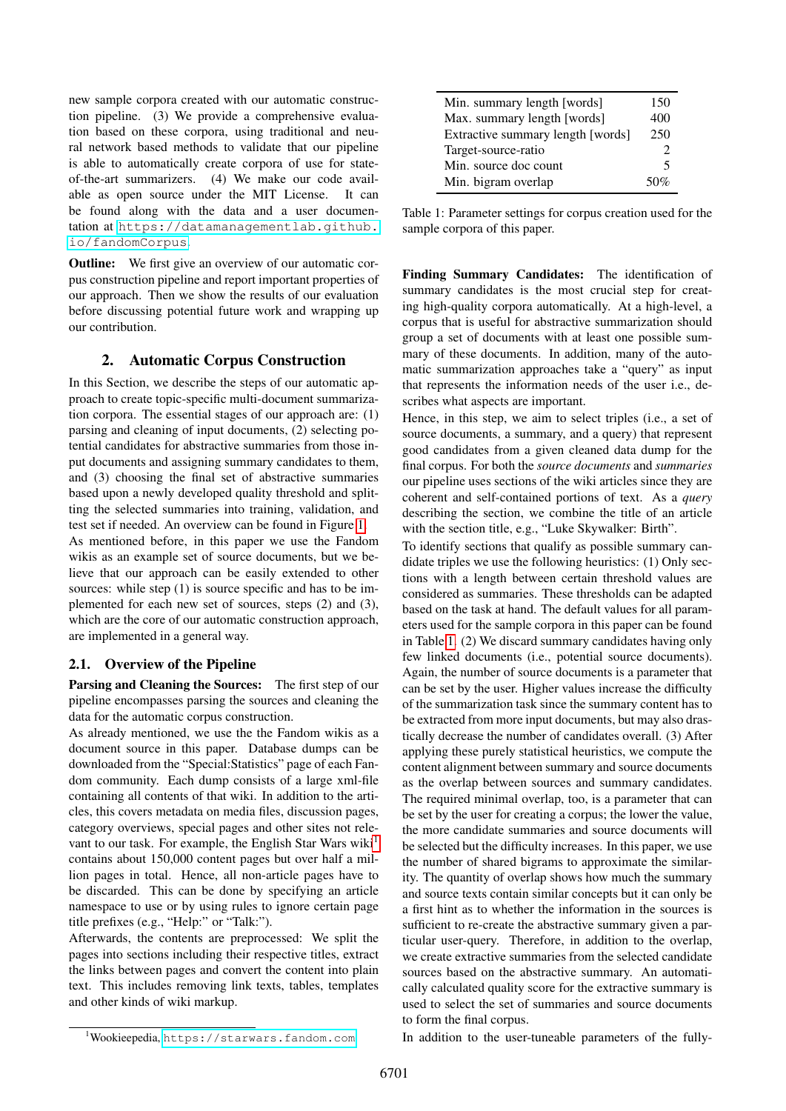new sample corpora created with our automatic construction pipeline. (3) We provide a comprehensive evaluation based on these corpora, using traditional and neural network based methods to validate that our pipeline is able to automatically create corpora of use for stateof-the-art summarizers. (4) We make our code available as open source under the MIT License. It can be found along with the data and a user documentation at [https://datamanagementlab.github.](https://datamanagementlab.github.io/fandomCorpus) [io/fandomCorpus](https://datamanagementlab.github.io/fandomCorpus).

**Outline:** We first give an overview of our automatic corpus construction pipeline and report important properties of our approach. Then we show the results of our evaluation before discussing potential future work and wrapping up our contribution.

## <span id="page-1-2"></span>2. Automatic Corpus Construction

In this Section, we describe the steps of our automatic approach to create topic-specific multi-document summarization corpora. The essential stages of our approach are: (1) parsing and cleaning of input documents, (2) selecting potential candidates for abstractive summaries from those input documents and assigning summary candidates to them, and (3) choosing the final set of abstractive summaries based upon a newly developed quality threshold and splitting the selected summaries into training, validation, and test set if needed. An overview can be found in Figure [1.](#page-2-0)

As mentioned before, in this paper we use the Fandom wikis as an example set of source documents, but we believe that our approach can be easily extended to other sources: while step (1) is source specific and has to be implemented for each new set of sources, steps (2) and (3), which are the core of our automatic construction approach, are implemented in a general way.

#### 2.1. Overview of the Pipeline

Parsing and Cleaning the Sources: The first step of our pipeline encompasses parsing the sources and cleaning the data for the automatic corpus construction.

As already mentioned, we use the the Fandom wikis as a document source in this paper. Database dumps can be downloaded from the "Special:Statistics" page of each Fandom community. Each dump consists of a large xml-file containing all contents of that wiki. In addition to the articles, this covers metadata on media files, discussion pages, category overviews, special pages and other sites not rele-vant to our task. For example, the English Star Wars wiki<sup>[1](#page-1-0)</sup> contains about 150,000 content pages but over half a million pages in total. Hence, all non-article pages have to be discarded. This can be done by specifying an article namespace to use or by using rules to ignore certain page title prefixes (e.g., "Help:" or "Talk:").

Afterwards, the contents are preprocessed: We split the pages into sections including their respective titles, extract the links between pages and convert the content into plain text. This includes removing link texts, tables, templates and other kinds of wiki markup.

| Min. summary length [words]       | 150 |
|-----------------------------------|-----|
| Max. summary length [words]       | 400 |
| Extractive summary length [words] | 250 |
| Target-source-ratio               | っ   |
| Min. source doc count             | 5   |
| Min. bigram overlap               | 50% |

<span id="page-1-1"></span>Table 1: Parameter settings for corpus creation used for the sample corpora of this paper.

Finding Summary Candidates: The identification of summary candidates is the most crucial step for creating high-quality corpora automatically. At a high-level, a corpus that is useful for abstractive summarization should group a set of documents with at least one possible summary of these documents. In addition, many of the automatic summarization approaches take a "query" as input that represents the information needs of the user i.e., describes what aspects are important.

Hence, in this step, we aim to select triples (i.e., a set of source documents, a summary, and a query) that represent good candidates from a given cleaned data dump for the final corpus. For both the *source documents* and *summaries* our pipeline uses sections of the wiki articles since they are coherent and self-contained portions of text. As a *query* describing the section, we combine the title of an article with the section title, e.g., "Luke Skywalker: Birth".

To identify sections that qualify as possible summary candidate triples we use the following heuristics: (1) Only sections with a length between certain threshold values are considered as summaries. These thresholds can be adapted based on the task at hand. The default values for all parameters used for the sample corpora in this paper can be found in Table [1.](#page-1-1) (2) We discard summary candidates having only few linked documents (i.e., potential source documents). Again, the number of source documents is a parameter that can be set by the user. Higher values increase the difficulty of the summarization task since the summary content has to be extracted from more input documents, but may also drastically decrease the number of candidates overall. (3) After applying these purely statistical heuristics, we compute the content alignment between summary and source documents as the overlap between sources and summary candidates. The required minimal overlap, too, is a parameter that can be set by the user for creating a corpus; the lower the value, the more candidate summaries and source documents will be selected but the difficulty increases. In this paper, we use the number of shared bigrams to approximate the similarity. The quantity of overlap shows how much the summary and source texts contain similar concepts but it can only be a first hint as to whether the information in the sources is sufficient to re-create the abstractive summary given a particular user-query. Therefore, in addition to the overlap, we create extractive summaries from the selected candidate sources based on the abstractive summary. An automatically calculated quality score for the extractive summary is used to select the set of summaries and source documents to form the final corpus.

In addition to the user-tuneable parameters of the fully-

<span id="page-1-0"></span><sup>1</sup>Wookieepedia, <https://starwars.fandom.com>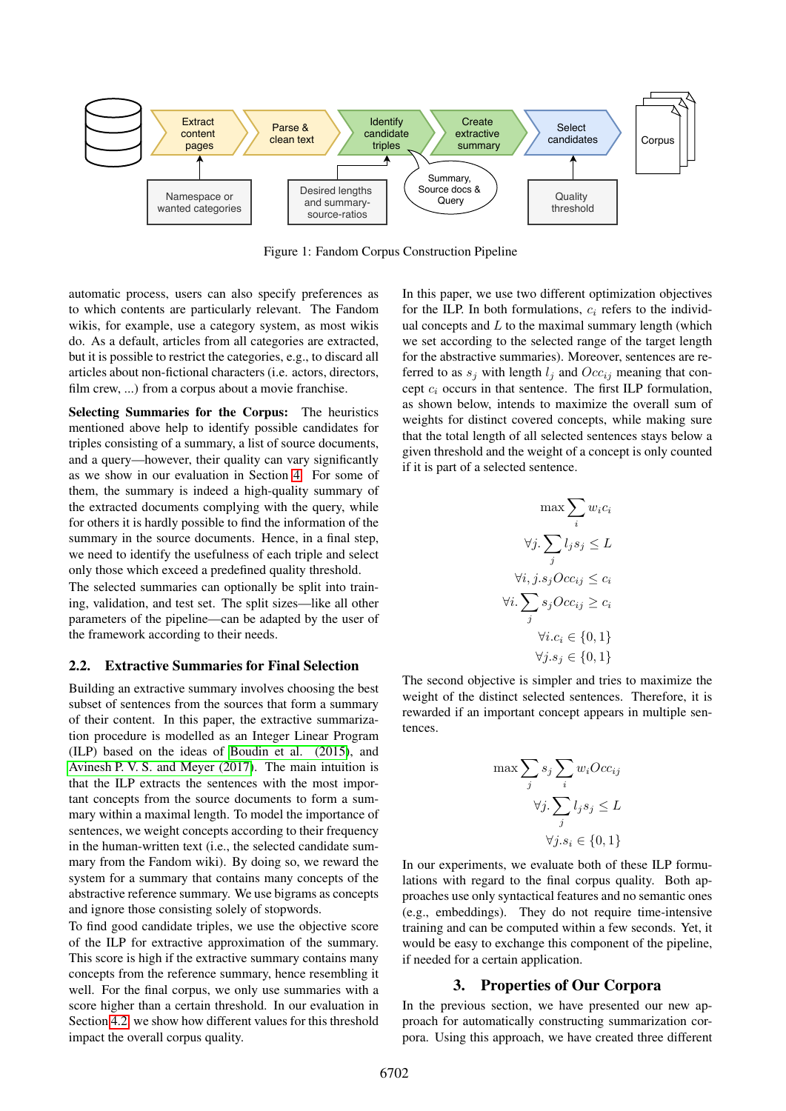

<span id="page-2-0"></span>Figure 1: Fandom Corpus Construction Pipeline

automatic process, users can also specify preferences as to which contents are particularly relevant. The Fandom wikis, for example, use a category system, as most wikis do. As a default, articles from all categories are extracted, but it is possible to restrict the categories, e.g., to discard all articles about non-fictional characters (i.e. actors, directors, film crew, ...) from a corpus about a movie franchise.

Selecting Summaries for the Corpus: The heuristics mentioned above help to identify possible candidates for triples consisting of a summary, a list of source documents, and a query—however, their quality can vary significantly as we show in our evaluation in Section [4.](#page-3-0) For some of them, the summary is indeed a high-quality summary of the extracted documents complying with the query, while for others it is hardly possible to find the information of the summary in the source documents. Hence, in a final step, we need to identify the usefulness of each triple and select only those which exceed a predefined quality threshold.

The selected summaries can optionally be split into training, validation, and test set. The split sizes—like all other parameters of the pipeline—can be adapted by the user of the framework according to their needs.

#### <span id="page-2-1"></span>2.2. Extractive Summaries for Final Selection

Desired lengths<br>
and summary-<br>
source-ratios<br>
1: Fandom Corpus C<br>
preferences as<br>
I. The Fandom<br>
as most wikis<br>
are extracted, we<br>
say are extracted, we<br>
tors, directors, frequencies.<br>
The heuristics<br>
candidates for the d Building an extractive summary involves choosing the best subset of sentences from the sources that form a summary of their content. In this paper, the extractive summarization procedure is modelled as an Integer Linear Program (ILP) based on the ideas of [Boudin et al. \(2015\)](#page-8-8), and [Avinesh P. V. S. and Meyer \(2017\)](#page-8-9). The main intuition is that the ILP extracts the sentences with the most important concepts from the source documents to form a summary within a maximal length. To model the importance of sentences, we weight concepts according to their frequency in the human-written text (i.e., the selected candidate summary from the Fandom wiki). By doing so, we reward the system for a summary that contains many concepts of the abstractive reference summary. We use bigrams as concepts and ignore those consisting solely of stopwords.

To find good candidate triples, we use the objective score of the ILP for extractive approximation of the summary. This score is high if the extractive summary contains many concepts from the reference summary, hence resembling it well. For the final corpus, we only use summaries with a score higher than a certain threshold. In our evaluation in Section [4.2,](#page-3-1) we show how different values for this threshold impact the overall corpus quality.

In this paper, we use two different optimization objectives for the ILP. In both formulations,  $c_i$  refers to the individual concepts and  $L$  to the maximal summary length (which we set according to the selected range of the target length for the abstractive summaries). Moreover, sentences are referred to as  $s_i$  with length  $l_i$  and  $Occ_{i_i}$  meaning that concept  $c_i$  occurs in that sentence. The first ILP formulation, as shown below, intends to maximize the overall sum of weights for distinct covered concepts, while making sure that the total length of all selected sentences stays below a given threshold and the weight of a concept is only counted if it is part of a selected sentence.

$$
\max \sum_{i} w_i c_i
$$

$$
\forall j. \sum_{j} l_j s_j \leq L
$$

$$
\forall i, j. s_j O c c_{ij} \leq c_i
$$

$$
\forall i. \sum_{j} s_j O c c_{ij} \geq c_i
$$

$$
\forall i. c_i \in \{0, 1\}
$$

$$
\forall j. s_j \in \{0, 1\}
$$

The second objective is simpler and tries to maximize the weight of the distinct selected sentences. Therefore, it is rewarded if an important concept appears in multiple sentences.

$$
\max \sum_{j} s_j \sum_{i} w_i Occ_{ij}
$$

$$
\forall j. \sum_{j} l_j s_j \le L
$$

$$
\forall j. s_i \in \{0, 1\}
$$

In our experiments, we evaluate both of these ILP formulations with regard to the final corpus quality. Both approaches use only syntactical features and no semantic ones (e.g., embeddings). They do not require time-intensive training and can be computed within a few seconds. Yet, it would be easy to exchange this component of the pipeline, if needed for a certain application.

#### 3. Properties of Our Corpora

In the previous section, we have presented our new approach for automatically constructing summarization corpora. Using this approach, we have created three different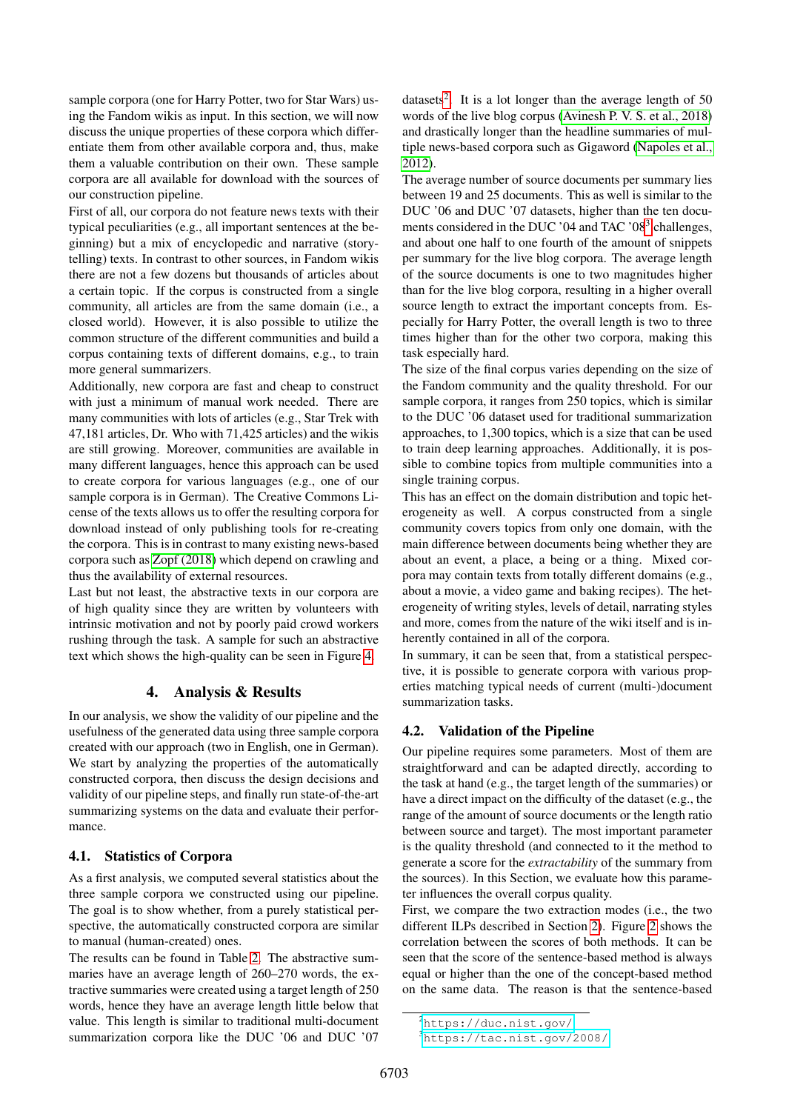sample corpora (one for Harry Potter, two for Star Wars) using the Fandom wikis as input. In this section, we will now discuss the unique properties of these corpora which differentiate them from other available corpora and, thus, make them a valuable contribution on their own. These sample corpora are all available for download with the sources of our construction pipeline.

First of all, our corpora do not feature news texts with their typical peculiarities (e.g., all important sentences at the beginning) but a mix of encyclopedic and narrative (storytelling) texts. In contrast to other sources, in Fandom wikis there are not a few dozens but thousands of articles about a certain topic. If the corpus is constructed from a single community, all articles are from the same domain (i.e., a closed world). However, it is also possible to utilize the common structure of the different communities and build a corpus containing texts of different domains, e.g., to train more general summarizers.

Additionally, new corpora are fast and cheap to construct with just a minimum of manual work needed. There are many communities with lots of articles (e.g., Star Trek with 47,181 articles, Dr. Who with 71,425 articles) and the wikis are still growing. Moreover, communities are available in many different languages, hence this approach can be used to create corpora for various languages (e.g., one of our sample corpora is in German). The Creative Commons License of the texts allows us to offer the resulting corpora for download instead of only publishing tools for re-creating the corpora. This is in contrast to many existing news-based corpora such as [Zopf \(2018\)](#page-8-10) which depend on crawling and thus the availability of external resources.

Last but not least, the abstractive texts in our corpora are of high quality since they are written by volunteers with intrinsic motivation and not by poorly paid crowd workers rushing through the task. A sample for such an abstractive text which shows the high-quality can be seen in Figure [4.](#page-5-0)

#### 4. Analysis & Results

<span id="page-3-0"></span>In our analysis, we show the validity of our pipeline and the usefulness of the generated data using three sample corpora created with our approach (two in English, one in German). We start by analyzing the properties of the automatically constructed corpora, then discuss the design decisions and validity of our pipeline steps, and finally run state-of-the-art summarizing systems on the data and evaluate their performance.

#### 4.1. Statistics of Corpora

As a first analysis, we computed several statistics about the three sample corpora we constructed using our pipeline. The goal is to show whether, from a purely statistical perspective, the automatically constructed corpora are similar to manual (human-created) ones.

The results can be found in Table [2.](#page-4-0) The abstractive summaries have an average length of 260–270 words, the extractive summaries were created using a target length of 250 words, hence they have an average length little below that value. This length is similar to traditional multi-document summarization corpora like the DUC '06 and DUC '07

datasets<sup>[2](#page-3-2)</sup>. It is a lot longer than the average length of 50 words of the live blog corpus [\(Avinesh P. V. S. et al., 2018\)](#page-8-11) and drastically longer than the headline summaries of multiple news-based corpora such as Gigaword [\(Napoles et al.,](#page-8-1) [2012\)](#page-8-1).

The average number of source documents per summary lies between 19 and 25 documents. This as well is similar to the DUC '06 and DUC '07 datasets, higher than the ten docu-ments considered in the DUC '04 and TAC '08<sup>[3](#page-3-3)</sup> challenges, and about one half to one fourth of the amount of snippets per summary for the live blog corpora. The average length of the source documents is one to two magnitudes higher than for the live blog corpora, resulting in a higher overall source length to extract the important concepts from. Especially for Harry Potter, the overall length is two to three times higher than for the other two corpora, making this task especially hard.

The size of the final corpus varies depending on the size of the Fandom community and the quality threshold. For our sample corpora, it ranges from 250 topics, which is similar to the DUC '06 dataset used for traditional summarization approaches, to 1,300 topics, which is a size that can be used to train deep learning approaches. Additionally, it is possible to combine topics from multiple communities into a single training corpus.

This has an effect on the domain distribution and topic heterogeneity as well. A corpus constructed from a single community covers topics from only one domain, with the main difference between documents being whether they are about an event, a place, a being or a thing. Mixed corpora may contain texts from totally different domains (e.g., about a movie, a video game and baking recipes). The heterogeneity of writing styles, levels of detail, narrating styles and more, comes from the nature of the wiki itself and is inherently contained in all of the corpora.

In summary, it can be seen that, from a statistical perspective, it is possible to generate corpora with various properties matching typical needs of current (multi-)document summarization tasks.

#### <span id="page-3-1"></span>4.2. Validation of the Pipeline

Our pipeline requires some parameters. Most of them are straightforward and can be adapted directly, according to the task at hand (e.g., the target length of the summaries) or have a direct impact on the difficulty of the dataset (e.g., the range of the amount of source documents or the length ratio between source and target). The most important parameter is the quality threshold (and connected to it the method to generate a score for the *extractability* of the summary from the sources). In this Section, we evaluate how this parameter influences the overall corpus quality.

First, we compare the two extraction modes (i.e., the two different ILPs described in Section [2\)](#page-1-2). Figure [2](#page-4-1) shows the correlation between the scores of both methods. It can be seen that the score of the sentence-based method is always equal or higher than the one of the concept-based method on the same data. The reason is that the sentence-based

<span id="page-3-2"></span><sup>2</sup><https://duc.nist.gov/>

<span id="page-3-3"></span><sup>3</sup><https://tac.nist.gov/2008/>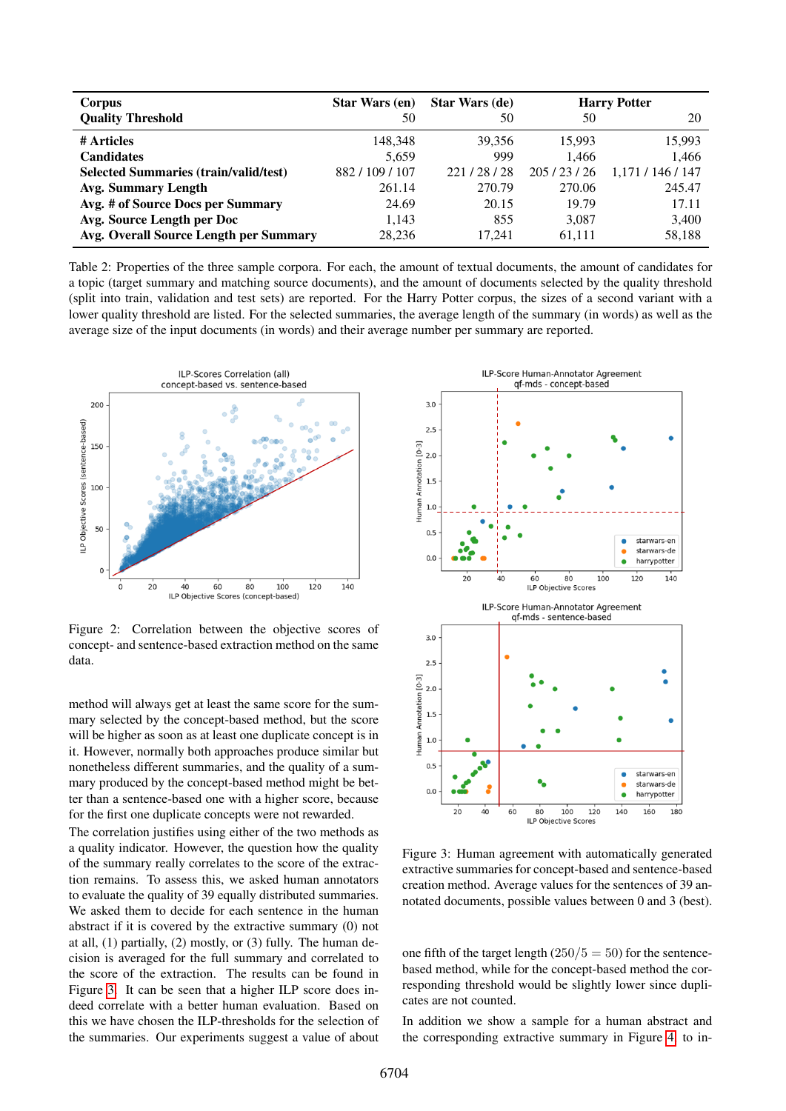| Corpus                                       | <b>Star Wars (en)</b> | <b>Star Wars (de)</b> | <b>Harry Potter</b> |                   |  |
|----------------------------------------------|-----------------------|-----------------------|---------------------|-------------------|--|
| <b>Quality Threshold</b>                     | 50                    | 50                    | 50                  | 20                |  |
| # Articles                                   | 148.348               | 39.356                | 15.993              | 15,993            |  |
| <b>Candidates</b>                            | 5,659                 | 999                   | 1.466               | 1,466             |  |
| <b>Selected Summaries (train/valid/test)</b> | 882/109/107           | 221/28/28             | 205/23/26           | 1,171 / 146 / 147 |  |
| Avg. Summary Length                          | 261.14                | 270.79                | 270.06              | 245.47            |  |
| Avg. # of Source Docs per Summary            | 24.69                 | 20.15                 | 19.79               | 17.11             |  |
| Avg. Source Length per Doc                   | 1,143                 | 855                   | 3,087               | 3,400             |  |
| Avg. Overall Source Length per Summary       | 28.236                | 17.241                | 61.111              | 58,188            |  |

<span id="page-4-0"></span>Table 2: Properties of the three sample corpora. For each, the amount of textual documents, the amount of candidates for a topic (target summary and matching source documents), and the amount of documents selected by the quality threshold (split into train, validation and test sets) are reported. For the Harry Potter corpus, the sizes of a second variant with a lower quality threshold are listed. For the selected summaries, the average length of the summary (in words) as well as the average size of the input documents (in words) and their average number per summary are reported.



<span id="page-4-1"></span>Figure 2: Correlation between the objective scores of concept- and sentence-based extraction method on the same data.

method will always get at least the same score for the summary selected by the concept-based method, but the score will be higher as soon as at least one duplicate concept is in it. However, normally both approaches produce similar but nonetheless different summaries, and the quality of a summary produced by the concept-based method might be better than a sentence-based one with a higher score, because for the first one duplicate concepts were not rewarded.

The correlation justifies using either of the two methods as a quality indicator. However, the question how the quality of the summary really correlates to the score of the extraction remains. To assess this, we asked human annotators to evaluate the quality of 39 equally distributed summaries. We asked them to decide for each sentence in the human abstract if it is covered by the extractive summary (0) not at all, (1) partially, (2) mostly, or (3) fully. The human decision is averaged for the full summary and correlated to the score of the extraction. The results can be found in Figure [3.](#page-4-2) It can be seen that a higher ILP score does indeed correlate with a better human evaluation. Based on this we have chosen the ILP-thresholds for the selection of the summaries. Our experiments suggest a value of about



<span id="page-4-2"></span>Figure 3: Human agreement with automatically generated extractive summaries for concept-based and sentence-based creation method. Average values for the sentences of 39 annotated documents, possible values between 0 and 3 (best).

one fifth of the target length  $(250/5 = 50)$  for the sentencebased method, while for the concept-based method the corresponding threshold would be slightly lower since duplicates are not counted.

In addition we show a sample for a human abstract and the corresponding extractive summary in Figure [4,](#page-5-0) to in-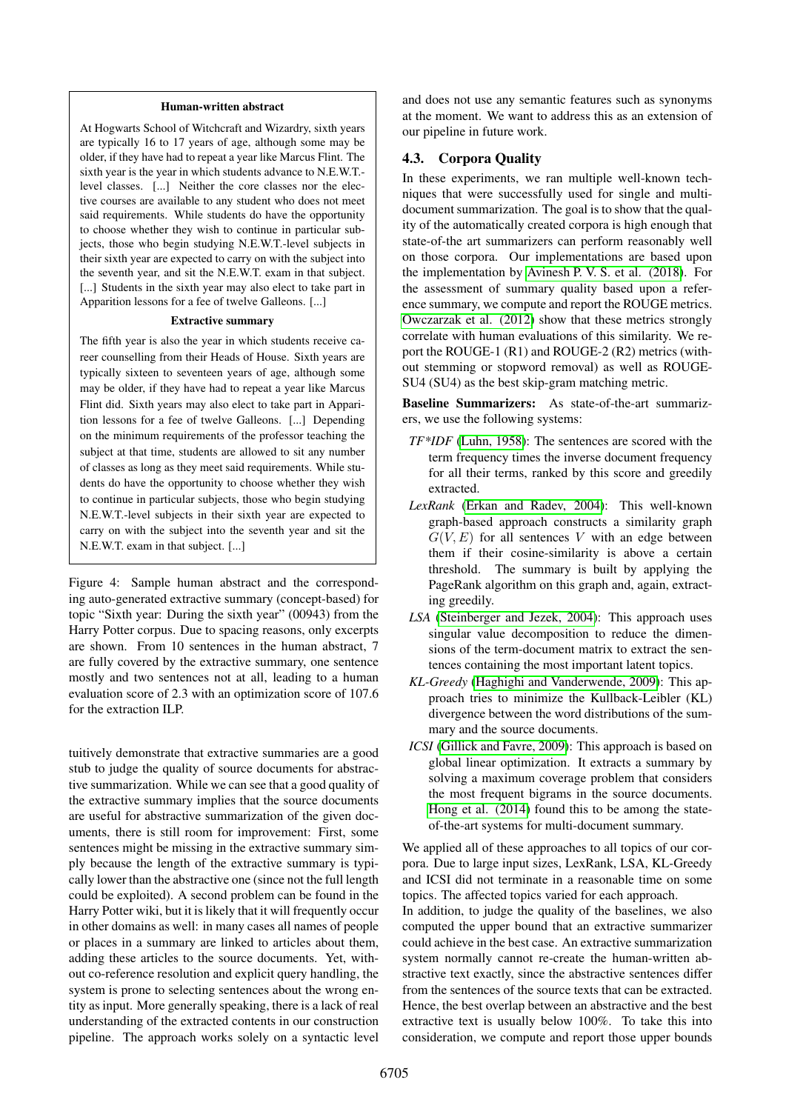#### Human-written abstract

At Hogwarts School of Witchcraft and Wizardry, sixth years are typically 16 to 17 years of age, although some may be older, if they have had to repeat a year like Marcus Flint. The sixth year is the year in which students advance to N.E.W.T. level classes. [...] Neither the core classes nor the elective courses are available to any student who does not meet said requirements. While students do have the opportunity to choose whether they wish to continue in particular subjects, those who begin studying N.E.W.T.-level subjects in their sixth year are expected to carry on with the subject into the seventh year, and sit the N.E.W.T. exam in that subject. [...] Students in the sixth year may also elect to take part in Apparition lessons for a fee of twelve Galleons. [...]

#### Extractive summary

The fifth year is also the year in which students receive career counselling from their Heads of House. Sixth years are typically sixteen to seventeen years of age, although some may be older, if they have had to repeat a year like Marcus Flint did. Sixth years may also elect to take part in Apparition lessons for a fee of twelve Galleons. [...] Depending on the minimum requirements of the professor teaching the subject at that time, students are allowed to sit any number of classes as long as they meet said requirements. While students do have the opportunity to choose whether they wish to continue in particular subjects, those who begin studying N.E.W.T.-level subjects in their sixth year are expected to carry on with the subject into the seventh year and sit the N.E.W.T. exam in that subject. [...]

<span id="page-5-0"></span>Figure 4: Sample human abstract and the corresponding auto-generated extractive summary (concept-based) for topic "Sixth year: During the sixth year" (00943) from the Harry Potter corpus. Due to spacing reasons, only excerpts are shown. From 10 sentences in the human abstract, 7 are fully covered by the extractive summary, one sentence mostly and two sentences not at all, leading to a human evaluation score of 2.3 with an optimization score of 107.6 for the extraction ILP.

tuitively demonstrate that extractive summaries are a good stub to judge the quality of source documents for abstractive summarization. While we can see that a good quality of the extractive summary implies that the source documents are useful for abstractive summarization of the given documents, there is still room for improvement: First, some sentences might be missing in the extractive summary simply because the length of the extractive summary is typically lower than the abstractive one (since not the full length could be exploited). A second problem can be found in the Harry Potter wiki, but it is likely that it will frequently occur in other domains as well: in many cases all names of people or places in a summary are linked to articles about them, adding these articles to the source documents. Yet, without co-reference resolution and explicit query handling, the system is prone to selecting sentences about the wrong entity as input. More generally speaking, there is a lack of real understanding of the extracted contents in our construction pipeline. The approach works solely on a syntactic level and does not use any semantic features such as synonyms at the moment. We want to address this as an extension of our pipeline in future work.

#### 4.3. Corpora Quality

In these experiments, we ran multiple well-known techniques that were successfully used for single and multidocument summarization. The goal is to show that the quality of the automatically created corpora is high enough that state-of-the art summarizers can perform reasonably well on those corpora. Our implementations are based upon the implementation by [Avinesh P. V. S. et al. \(2018\)](#page-8-11). For the assessment of summary quality based upon a reference summary, we compute and report the ROUGE metrics. [Owczarzak et al. \(2012\)](#page-8-12) show that these metrics strongly correlate with human evaluations of this similarity. We report the ROUGE-1 (R1) and ROUGE-2 (R2) metrics (without stemming or stopword removal) as well as ROUGE-SU4 (SU4) as the best skip-gram matching metric.

Baseline Summarizers: As state-of-the-art summarizers, we use the following systems:

- *TF\*IDF* [\(Luhn, 1958\)](#page-8-13): The sentences are scored with the term frequency times the inverse document frequency for all their terms, ranked by this score and greedily extracted.
- *LexRank* [\(Erkan and Radev, 2004\)](#page-8-14): This well-known graph-based approach constructs a similarity graph  $G(V, E)$  for all sentences V with an edge between them if their cosine-similarity is above a certain threshold. The summary is built by applying the PageRank algorithm on this graph and, again, extracting greedily.
- *LSA* [\(Steinberger and Jezek, 2004\)](#page-8-15): This approach uses singular value decomposition to reduce the dimensions of the term-document matrix to extract the sentences containing the most important latent topics.
- *KL-Greedy* [\(Haghighi and Vanderwende, 2009\)](#page-8-16): This approach tries to minimize the Kullback-Leibler (KL) divergence between the word distributions of the summary and the source documents.
- *ICSI* [\(Gillick and Favre, 2009\)](#page-8-17): This approach is based on global linear optimization. It extracts a summary by solving a maximum coverage problem that considers the most frequent bigrams in the source documents. [Hong et al. \(2014\)](#page-8-18) found this to be among the stateof-the-art systems for multi-document summary.

We applied all of these approaches to all topics of our corpora. Due to large input sizes, LexRank, LSA, KL-Greedy and ICSI did not terminate in a reasonable time on some topics. The affected topics varied for each approach.

In addition, to judge the quality of the baselines, we also computed the upper bound that an extractive summarizer could achieve in the best case. An extractive summarization system normally cannot re-create the human-written abstractive text exactly, since the abstractive sentences differ from the sentences of the source texts that can be extracted. Hence, the best overlap between an abstractive and the best extractive text is usually below 100%. To take this into consideration, we compute and report those upper bounds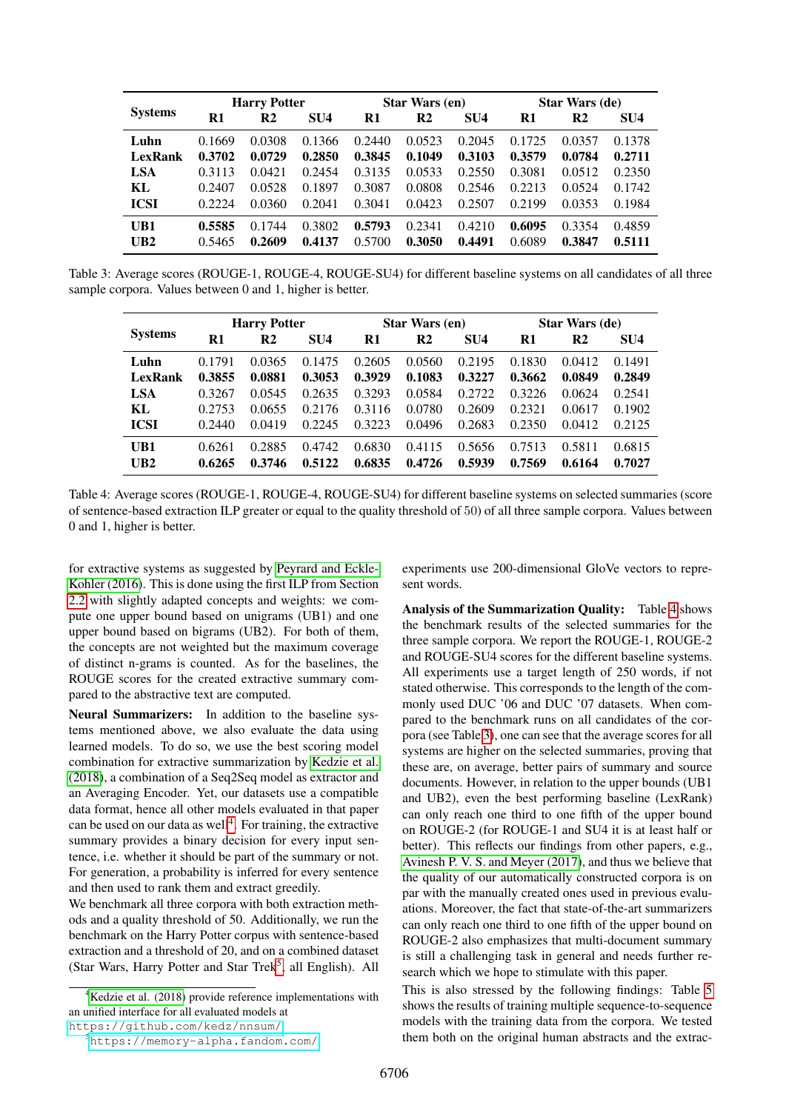| <b>Systems</b> | <b>Harry Potter</b> |        |                 |        | <b>Star Wars (en)</b> |                 | <b>Star Wars (de)</b> |        |                 |  |
|----------------|---------------------|--------|-----------------|--------|-----------------------|-----------------|-----------------------|--------|-----------------|--|
|                | R1                  | R2     | SU <sub>4</sub> | R1     | R2                    | SU <sub>4</sub> | R1                    | R2     | SU <sub>4</sub> |  |
| Luhn           | 0.1669              | 0.0308 | 0.1366          | 0.2440 | 0.0523                | 0.2045          | 0.1725                | 0.0357 | 0.1378          |  |
| <b>LexRank</b> | 0.3702              | 0.0729 | 0.2850          | 0.3845 | 0.1049                | 0.3103          | 0.3579                | 0.0784 | 0.2711          |  |
| <b>LSA</b>     | 0.3113              | 0.0421 | 0.2454          | 0.3135 | 0.0533                | 0.2550          | 0.3081                | 0.0512 | 0.2350          |  |
| KL             | 0.2407              | 0.0528 | 0.1897          | 0.3087 | 0.0808                | 0.2546          | 0.2213                | 0.0524 | 0.1742          |  |
| <b>ICSI</b>    | 0.2224              | 0.0360 | 0.2041          | 0.3041 | 0.0423                | 0.2507          | 0.2199                | 0.0353 | 0.1984          |  |
| UB1            | 0.5585              | 0.1744 | 0.3802          | 0.5793 | 0.2341                | 0.4210          | 0.6095                | 0.3354 | 0.4859          |  |
| UB2            | 0.5465              | 0.2609 | 0.4137          | 0.5700 | 0.3050                | 0.4491          | 0.6089                | 0.3847 | 0.5111          |  |

<span id="page-6-3"></span>Table 3: Average scores (ROUGE-1, ROUGE-4, ROUGE-SU4) for different baseline systems on all candidates of all three sample corpora. Values between 0 and 1, higher is better.

| <b>Systems</b> | <b>Harry Potter</b> |        |                 |        | <b>Star Wars (en)</b> |                 | Star Wars (de) |                |                 |  |
|----------------|---------------------|--------|-----------------|--------|-----------------------|-----------------|----------------|----------------|-----------------|--|
|                | R1                  | R2     | SU <sub>4</sub> | R1     | R2                    | SU <sub>4</sub> | R1             | R <sub>2</sub> | SU <sub>4</sub> |  |
| Luhn           | 0.1791              | 0.0365 | 0.1475          | 0.2605 | 0.0560                | 0.2195          | 0.1830         | 0.0412         | 0.1491          |  |
| LexRank        | 0.3855              | 0.0881 | 0.3053          | 0.3929 | 0.1083                | 0.3227          | 0.3662         | 0.0849         | 0.2849          |  |
| <b>LSA</b>     | 0.3267              | 0.0545 | 0.2635          | 0.3293 | 0.0584                | 0.2722          | 0.3226         | 0.0624         | 0.2541          |  |
| KL             | 0.2753              | 0.0655 | 0.2176          | 0.3116 | 0.0780                | 0.2609          | 0.2321         | 0.0617         | 0.1902          |  |
| <b>ICSI</b>    | 0.2440              | 0.0419 | 0.2245          | 0.3223 | 0.0496                | 0.2683          | 0.2350         | 0.0412         | 0.2125          |  |
| UB1            | 0.6261              | 0.2885 | 0.4742          | 0.6830 | 0.4115                | 0.5656          | 0.7513         | 0.5811         | 0.6815          |  |
| UB2            | 0.6265              | 0.3746 | 0.5122          | 0.6835 | 0.4726                | 0.5939          | 0.7569         | 0.6164         | 0.7027          |  |

<span id="page-6-2"></span>Table 4: Average scores (ROUGE-1, ROUGE-4, ROUGE-SU4) for different baseline systems on selected summaries (score of sentence-based extraction ILP greater or equal to the quality threshold of 50) of all three sample corpora. Values between 0 and 1, higher is better.

for extractive systems as suggested by [Peyrard and Eckle-](#page-8-19)[Kohler \(2016\)](#page-8-19). This is done using the first ILP from Section [2.2](#page-2-1) with slightly adapted concepts and weights: we compute one upper bound based on unigrams (UB1) and one upper bound based on bigrams (UB2). For both of them, the concepts are not weighted but the maximum coverage of distinct n-grams is counted. As for the baselines, the ROUGE scores for the created extractive summary compared to the abstractive text are computed.

Neural Summarizers: In addition to the baseline systems mentioned above, we also evaluate the data using learned models. To do so, we use the best scoring model combination for extractive summarization by [Kedzie et al.](#page-8-20) [\(2018\)](#page-8-20), a combination of a Seq2Seq model as extractor and an Averaging Encoder. Yet, our datasets use a compatible data format, hence all other models evaluated in that paper can be used on our data as well<sup>[4](#page-6-0)</sup>. For training, the extractive summary provides a binary decision for every input sentence, i.e. whether it should be part of the summary or not. For generation, a probability is inferred for every sentence and then used to rank them and extract greedily.

We benchmark all three corpora with both extraction methods and a quality threshold of 50. Additionally, we run the benchmark on the Harry Potter corpus with sentence-based extraction and a threshold of 20, and on a combined dataset (Star Wars, Harry Potter and Star Trek<sup>[5](#page-6-1)</sup>, all English). All

<span id="page-6-0"></span> ${}^{4}$ [Kedzie et al. \(2018\)](#page-8-20) provide reference implementations with an unified interface for all evaluated models at

<https://github.com/kedz/nnsum/>

experiments use 200-dimensional GloVe vectors to represent words.

Analysis of the Summarization Quality: Table [4](#page-6-2) shows the benchmark results of the selected summaries for the three sample corpora. We report the ROUGE-1, ROUGE-2 and ROUGE-SU4 scores for the different baseline systems. All experiments use a target length of 250 words, if not stated otherwise. This corresponds to the length of the commonly used DUC '06 and DUC '07 datasets. When compared to the benchmark runs on all candidates of the corpora (see Table [3\)](#page-6-3), one can see that the average scores for all systems are higher on the selected summaries, proving that these are, on average, better pairs of summary and source documents. However, in relation to the upper bounds (UB1 and UB2), even the best performing baseline (LexRank) can only reach one third to one fifth of the upper bound on ROUGE-2 (for ROUGE-1 and SU4 it is at least half or better). This reflects our findings from other papers, e.g., [Avinesh P. V. S. and Meyer \(2017\)](#page-8-9), and thus we believe that the quality of our automatically constructed corpora is on par with the manually created ones used in previous evaluations. Moreover, the fact that state-of-the-art summarizers can only reach one third to one fifth of the upper bound on ROUGE-2 also emphasizes that multi-document summary is still a challenging task in general and needs further research which we hope to stimulate with this paper.

This is also stressed by the following findings: Table [5](#page-7-0) shows the results of training multiple sequence-to-sequence models with the training data from the corpora. We tested them both on the original human abstracts and the extrac-

<span id="page-6-1"></span><sup>5</sup><https://memory-alpha.fandom.com/>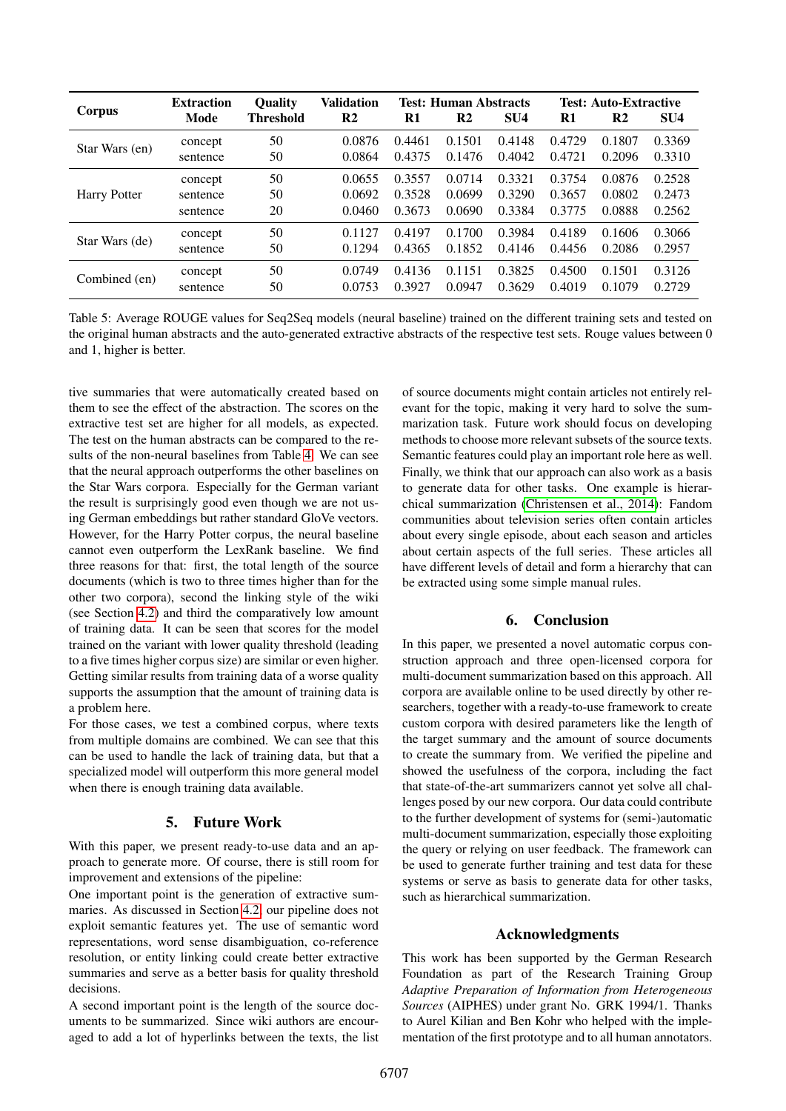|                     | <b>Extraction</b> | <b>Ouality</b>   | <b>Validation</b> | <b>Test: Human Abstracts</b> |        |                 | <b>Test: Auto-Extractive</b> |               |                 |
|---------------------|-------------------|------------------|-------------------|------------------------------|--------|-----------------|------------------------------|---------------|-----------------|
| Corpus              | Mode              | <b>Threshold</b> | R <sub>2</sub>    | R1                           | R2     | SU <sub>4</sub> | R1                           | $\mathbf{R}2$ | SU <sub>4</sub> |
| Star Wars (en)      | concept           | 50               | 0.0876            | 0.4461                       | 0.1501 | 0.4148          | 0.4729                       | 0.1807        | 0.3369          |
|                     | sentence          | 50               | 0.0864            | 0.4375                       | 0.1476 | 0.4042          | 0.4721                       | 0.2096        | 0.3310          |
| <b>Harry Potter</b> | concept           | 50               | 0.0655            | 0.3557                       | 0.0714 | 0.3321          | 0.3754                       | 0.0876        | 0.2528          |
|                     | sentence          | 50               | 0.0692            | 0.3528                       | 0.0699 | 0.3290          | 0.3657                       | 0.0802        | 0.2473          |
|                     | sentence          | 20               | 0.0460            | 0.3673                       | 0.0690 | 0.3384          | 0.3775                       | 0.0888        | 0.2562          |
| Star Wars (de)      | concept           | 50               | 0.1127            | 0.4197                       | 0.1700 | 0.3984          | 0.4189                       | 0.1606        | 0.3066          |
|                     | sentence          | 50               | 0.1294            | 0.4365                       | 0.1852 | 0.4146          | 0.4456                       | 0.2086        | 0.2957          |
| Combined (en)       | concept           | 50               | 0.0749            | 0.4136                       | 0.1151 | 0.3825          | 0.4500                       | 0.1501        | 0.3126          |
|                     | sentence          | 50               | 0.0753            | 0.3927                       | 0.0947 | 0.3629          | 0.4019                       | 0.1079        | 0.2729          |

<span id="page-7-0"></span>Table 5: Average ROUGE values for Seq2Seq models (neural baseline) trained on the different training sets and tested on the original human abstracts and the auto-generated extractive abstracts of the respective test sets. Rouge values between 0 and 1, higher is better.

tive summaries that were automatically created based on them to see the effect of the abstraction. The scores on the extractive test set are higher for all models, as expected. The test on the human abstracts can be compared to the results of the non-neural baselines from Table [4.](#page-6-2) We can see that the neural approach outperforms the other baselines on the Star Wars corpora. Especially for the German variant the result is surprisingly good even though we are not using German embeddings but rather standard GloVe vectors. However, for the Harry Potter corpus, the neural baseline cannot even outperform the LexRank baseline. We find three reasons for that: first, the total length of the source documents (which is two to three times higher than for the other two corpora), second the linking style of the wiki (see Section [4.2\)](#page-3-1) and third the comparatively low amount of training data. It can be seen that scores for the model trained on the variant with lower quality threshold (leading to a five times higher corpus size) are similar or even higher. Getting similar results from training data of a worse quality supports the assumption that the amount of training data is a problem here.

For those cases, we test a combined corpus, where texts from multiple domains are combined. We can see that this can be used to handle the lack of training data, but that a specialized model will outperform this more general model when there is enough training data available.

# 5. Future Work

With this paper, we present ready-to-use data and an approach to generate more. Of course, there is still room for improvement and extensions of the pipeline:

One important point is the generation of extractive summaries. As discussed in Section [4.2,](#page-3-1) our pipeline does not exploit semantic features yet. The use of semantic word representations, word sense disambiguation, co-reference resolution, or entity linking could create better extractive summaries and serve as a better basis for quality threshold decisions.

A second important point is the length of the source documents to be summarized. Since wiki authors are encouraged to add a lot of hyperlinks between the texts, the list of source documents might contain articles not entirely relevant for the topic, making it very hard to solve the summarization task. Future work should focus on developing methods to choose more relevant subsets of the source texts. Semantic features could play an important role here as well. Finally, we think that our approach can also work as a basis to generate data for other tasks. One example is hierarchical summarization [\(Christensen et al., 2014\)](#page-8-21): Fandom communities about television series often contain articles about every single episode, about each season and articles about certain aspects of the full series. These articles all have different levels of detail and form a hierarchy that can be extracted using some simple manual rules.

# 6. Conclusion

In this paper, we presented a novel automatic corpus construction approach and three open-licensed corpora for multi-document summarization based on this approach. All corpora are available online to be used directly by other researchers, together with a ready-to-use framework to create custom corpora with desired parameters like the length of the target summary and the amount of source documents to create the summary from. We verified the pipeline and showed the usefulness of the corpora, including the fact that state-of-the-art summarizers cannot yet solve all challenges posed by our new corpora. Our data could contribute to the further development of systems for (semi-)automatic multi-document summarization, especially those exploiting the query or relying on user feedback. The framework can be used to generate further training and test data for these systems or serve as basis to generate data for other tasks, such as hierarchical summarization.

## Acknowledgments

This work has been supported by the German Research Foundation as part of the Research Training Group *Adaptive Preparation of Information from Heterogeneous Sources* (AIPHES) under grant No. GRK 1994/1. Thanks to Aurel Kilian and Ben Kohr who helped with the implementation of the first prototype and to all human annotators.